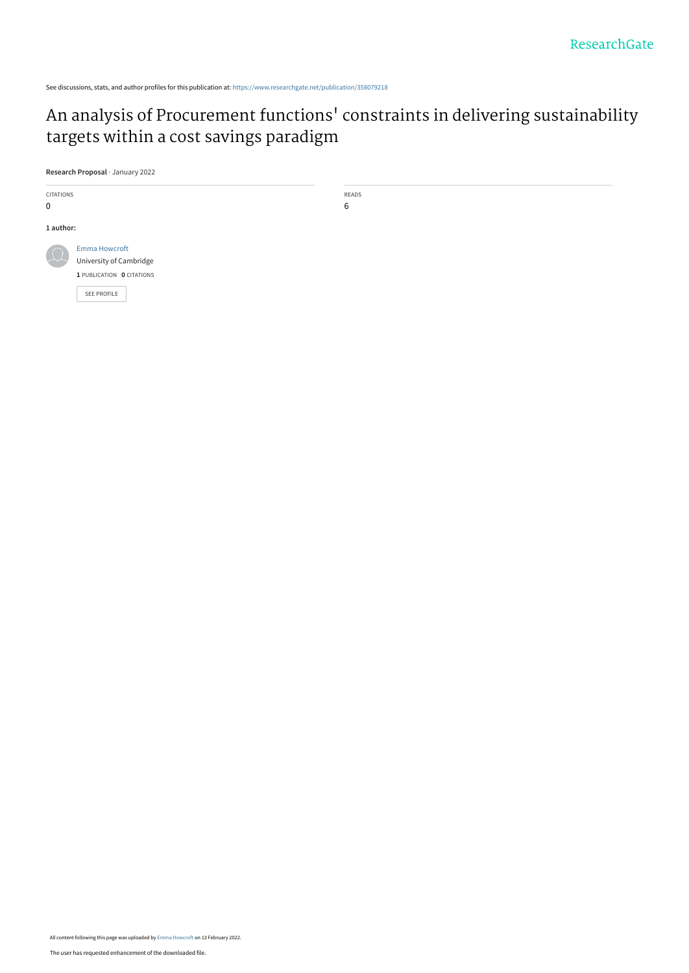See discussions, stats, and author profiles for this publication at: [https://www.researchgate.net/publication/358079218](https://www.researchgate.net/publication/358079218_An_analysis_of_Procurement_functions%27_constraints_in_delivering_sustainability_targets_within_a_cost_savings_paradigm?enrichId=rgreq-a11f41a78934466ee429f201523184d4-XXX&enrichSource=Y292ZXJQYWdlOzM1ODA3OTIxODtBUzoxMTIzMTczMjYxMTQ4MTYwQDE2NDQ3OTY3ODExNTM%3D&el=1_x_2&_esc=publicationCoverPdf)

## An analysis of Procurement functions[' constraints in delivering sustainability](https://www.researchgate.net/publication/358079218_An_analysis_of_Procurement_functions%27_constraints_in_delivering_sustainability_targets_within_a_cost_savings_paradigm?enrichId=rgreq-a11f41a78934466ee429f201523184d4-XXX&enrichSource=Y292ZXJQYWdlOzM1ODA3OTIxODtBUzoxMTIzMTczMjYxMTQ4MTYwQDE2NDQ3OTY3ODExNTM%3D&el=1_x_3&_esc=publicationCoverPdf) targets within a cost savings paradigm

**Research Proposal** · January 2022



READS 6

All content following this page was uploaded by [Emma Howcroft](https://www.researchgate.net/profile/Emma-Howcroft-2?enrichId=rgreq-a11f41a78934466ee429f201523184d4-XXX&enrichSource=Y292ZXJQYWdlOzM1ODA3OTIxODtBUzoxMTIzMTczMjYxMTQ4MTYwQDE2NDQ3OTY3ODExNTM%3D&el=1_x_10&_esc=publicationCoverPdf) on 13 February 2022.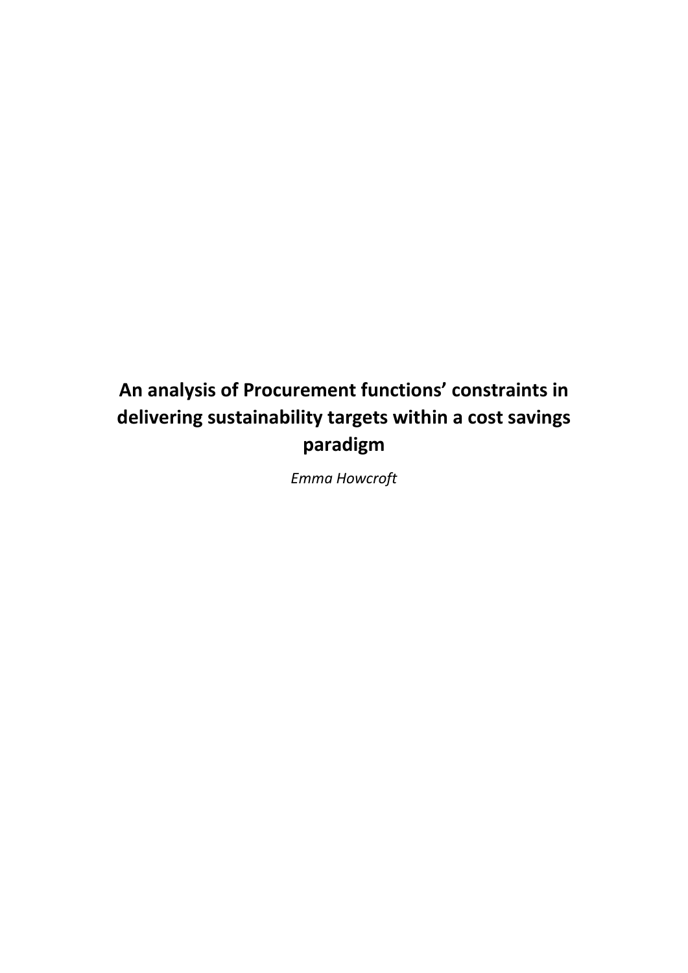# **An analysis of Procurement functions' constraints in delivering sustainability targets within a cost savings paradigm**

*Emma Howcroft*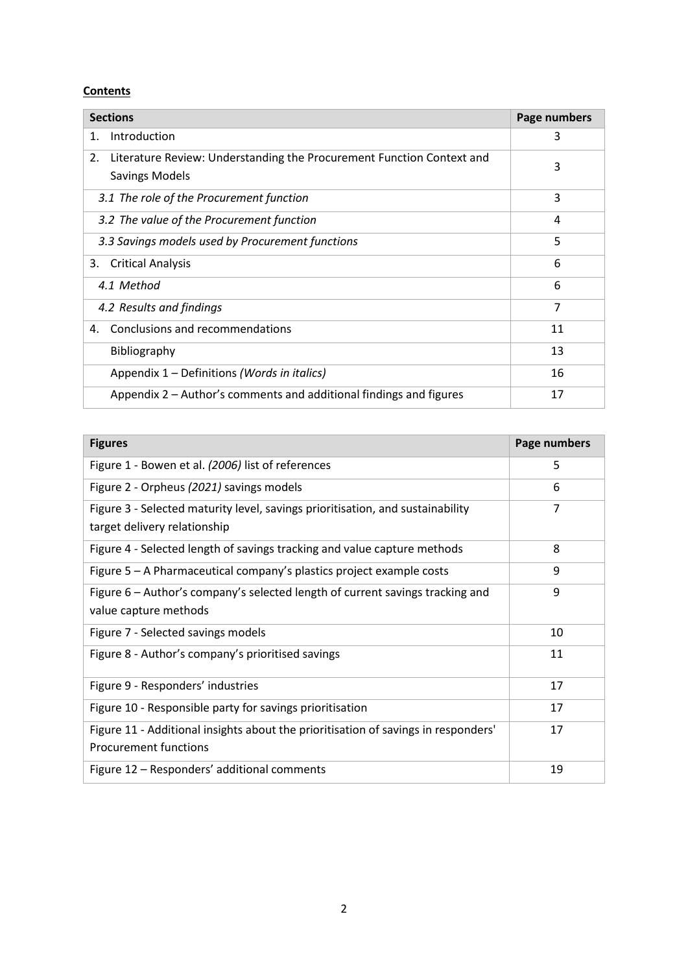## **Contents**

| <b>Sections</b>                                                                                      | Page numbers |
|------------------------------------------------------------------------------------------------------|--------------|
| Introduction<br>1.                                                                                   | 3            |
| Literature Review: Understanding the Procurement Function Context and<br>2.<br><b>Savings Models</b> | 3            |
| 3.1 The role of the Procurement function                                                             | 3            |
| 3.2 The value of the Procurement function                                                            | 4            |
| 3.3 Savings models used by Procurement functions                                                     | 5            |
| <b>Critical Analysis</b><br>3.                                                                       | 6            |
| 4.1 Method                                                                                           | 6            |
| 4.2 Results and findings                                                                             | 7            |
| Conclusions and recommendations<br>4.                                                                | 11           |
| Bibliography                                                                                         | 13           |
| Appendix 1 – Definitions (Words in italics)                                                          | 16           |
| Appendix 2 – Author's comments and additional findings and figures                                   | 17           |

| <b>Figures</b>                                                                                                     | Page numbers   |
|--------------------------------------------------------------------------------------------------------------------|----------------|
| Figure 1 - Bowen et al. (2006) list of references                                                                  | 5              |
| Figure 2 - Orpheus (2021) savings models                                                                           | 6              |
| Figure 3 - Selected maturity level, savings prioritisation, and sustainability<br>target delivery relationship     | $\overline{7}$ |
| Figure 4 - Selected length of savings tracking and value capture methods                                           | 8              |
| Figure 5 – A Pharmaceutical company's plastics project example costs                                               | 9              |
| Figure 6 – Author's company's selected length of current savings tracking and<br>value capture methods             | 9              |
| Figure 7 - Selected savings models                                                                                 | 10             |
| Figure 8 - Author's company's prioritised savings                                                                  | 11             |
| Figure 9 - Responders' industries                                                                                  | 17             |
| Figure 10 - Responsible party for savings prioritisation                                                           | 17             |
| Figure 11 - Additional insights about the prioritisation of savings in responders'<br><b>Procurement functions</b> | 17             |
| Figure 12 - Responders' additional comments                                                                        | 19             |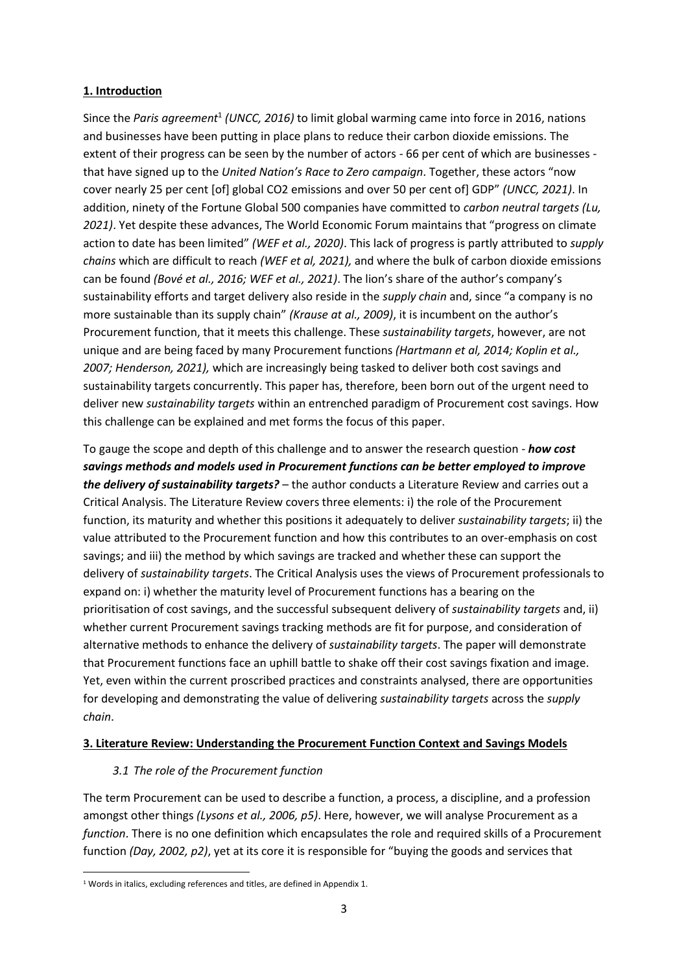## **1. Introduction**

Since the Paris agreement<sup>1</sup> (UNCC, 2016) to limit global warming came into force in 2016, nations and businesses have been putting in place plans to reduce their carbon dioxide emissions. The extent of their progress can be seen by the number of actors - 66 per cent of which are businesses that have signed up to the *United Nation's Race to Zero campaign*. Together, these actors "now cover nearly 25 per cent [of] global CO2 emissions and over 50 per cent of] GDP" *(UNCC, 2021)*. In addition, ninety of the Fortune Global 500 companies have committed to *carbon neutral targets (Lu, 2021)*. Yet despite these advances, The World Economic Forum maintains that "progress on climate action to date has been limited" *(WEF et al., 2020)*. This lack of progress is partly attributed to *supply chains* which are difficult to reach *(WEF et al, 2021),* and where the bulk of carbon dioxide emissions can be found *(Bové et al., 2016; WEF et al., 2021)*. The lion's share of the author's company's sustainability efforts and target delivery also reside in the *supply chain* and, since "a company is no more sustainable than its supply chain" *(Krause at al., 2009)*, it is incumbent on the author's Procurement function, that it meets this challenge. These *sustainability targets*, however, are not unique and are being faced by many Procurement functions *(Hartmann et al, 2014; Koplin et al., 2007; Henderson, 2021),* which are increasingly being tasked to deliver both cost savings and sustainability targets concurrently. This paper has, therefore, been born out of the urgent need to deliver new *sustainability targets* within an entrenched paradigm of Procurement cost savings. How this challenge can be explained and met forms the focus of this paper.

To gauge the scope and depth of this challenge and to answer the research question - *how cost savings methods and models used in Procurement functions can be better employed to improve the delivery of sustainability targets?* – the author conducts a Literature Review and carries out a Critical Analysis. The Literature Review covers three elements: i) the role of the Procurement function, its maturity and whether this positions it adequately to deliver *sustainability targets*; ii) the value attributed to the Procurement function and how this contributes to an over-emphasis on cost savings; and iii) the method by which savings are tracked and whether these can support the delivery of *sustainability targets*. The Critical Analysis uses the views of Procurement professionals to expand on: i) whether the maturity level of Procurement functions has a bearing on the prioritisation of cost savings, and the successful subsequent delivery of *sustainability targets* and, ii) whether current Procurement savings tracking methods are fit for purpose, and consideration of alternative methods to enhance the delivery of *sustainability targets*. The paper will demonstrate that Procurement functions face an uphill battle to shake off their cost savings fixation and image. Yet, even within the current proscribed practices and constraints analysed, there are opportunities for developing and demonstrating the value of delivering *sustainability targets* across the *supply chain*.

## **3. Literature Review: Understanding the Procurement Function Context and Savings Models**

## *3.1 The role of the Procurement function*

The term Procurement can be used to describe a function, a process, a discipline, and a profession amongst other things *(Lysons et al., 2006, p5)*. Here, however, we will analyse Procurement as a *function*. There is no one definition which encapsulates the role and required skills of a Procurement function *(Day, 2002, p2)*, yet at its core it is responsible for "buying the goods and services that

<sup>&</sup>lt;sup>1</sup> Words in italics, excluding references and titles, are defined in Appendix 1.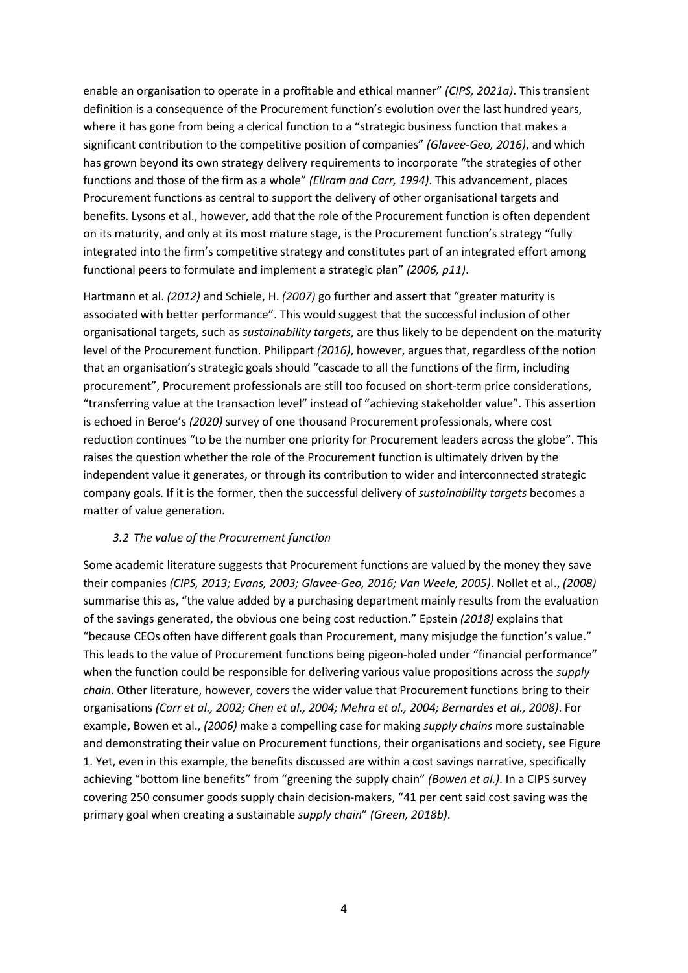enable an organisation to operate in a profitable and ethical manner" *(CIPS, 2021a)*. This transient definition is a consequence of the Procurement function's evolution over the last hundred years, where it has gone from being a clerical function to a "strategic business function that makes a significant contribution to the competitive position of companies" *(Glavee-Geo, 2016)*, and which has grown beyond its own strategy delivery requirements to incorporate "the strategies of other functions and those of the firm as a whole" *(Ellram and Carr, 1994)*. This advancement, places Procurement functions as central to support the delivery of other organisational targets and benefits. Lysons et al., however, add that the role of the Procurement function is often dependent on its maturity, and only at its most mature stage, is the Procurement function's strategy "fully integrated into the firm's competitive strategy and constitutes part of an integrated effort among functional peers to formulate and implement a strategic plan" *(2006, p11)*.

Hartmann et al. *(2012)* and Schiele, H. *(2007)* go further and assert that "greater maturity is associated with better performance". This would suggest that the successful inclusion of other organisational targets, such as *sustainability targets*, are thus likely to be dependent on the maturity level of the Procurement function. Philippart *(2016)*, however, argues that, regardless of the notion that an organisation's strategic goals should "cascade to all the functions of the firm, including procurement", Procurement professionals are still too focused on short-term price considerations, "transferring value at the transaction level" instead of "achieving stakeholder value". This assertion is echoed in Beroe's *(2020)* survey of one thousand Procurement professionals, where cost reduction continues "to be the number one priority for Procurement leaders across the globe". This raises the question whether the role of the Procurement function is ultimately driven by the independent value it generates, or through its contribution to wider and interconnected strategic company goals. If it is the former, then the successful delivery of *sustainability targets* becomes a matter of value generation.

## *3.2 The value of the Procurement function*

Some academic literature suggests that Procurement functions are valued by the money they save their companies *(CIPS, 2013; Evans, 2003; Glavee-Geo, 2016; Van Weele, 2005)*. Nollet et al., *(2008)*  summarise this as, "the value added by a purchasing department mainly results from the evaluation of the savings generated, the obvious one being cost reduction." Epstein *(2018)* explains that "because CEOs often have different goals than Procurement, many misjudge the function's value." This leads to the value of Procurement functions being pigeon-holed under "financial performance" when the function could be responsible for delivering various value propositions across the *supply chain*. Other literature, however, covers the wider value that Procurement functions bring to their organisations *(Carr et al., 2002; Chen et al., 2004; Mehra et al., 2004; Bernardes et al., 2008)*. For example, Bowen et al., *(2006)* make a compelling case for making *supply chains* more sustainable and demonstrating their value on Procurement functions, their organisations and society, see Figure 1. Yet, even in this example, the benefits discussed are within a cost savings narrative, specifically achieving "bottom line benefits" from "greening the supply chain" *(Bowen et al.)*. In a CIPS survey covering 250 consumer goods supply chain decision-makers, "41 per cent said cost saving was the primary goal when creating a sustainable *supply chain*" *(Green, 2018b)*.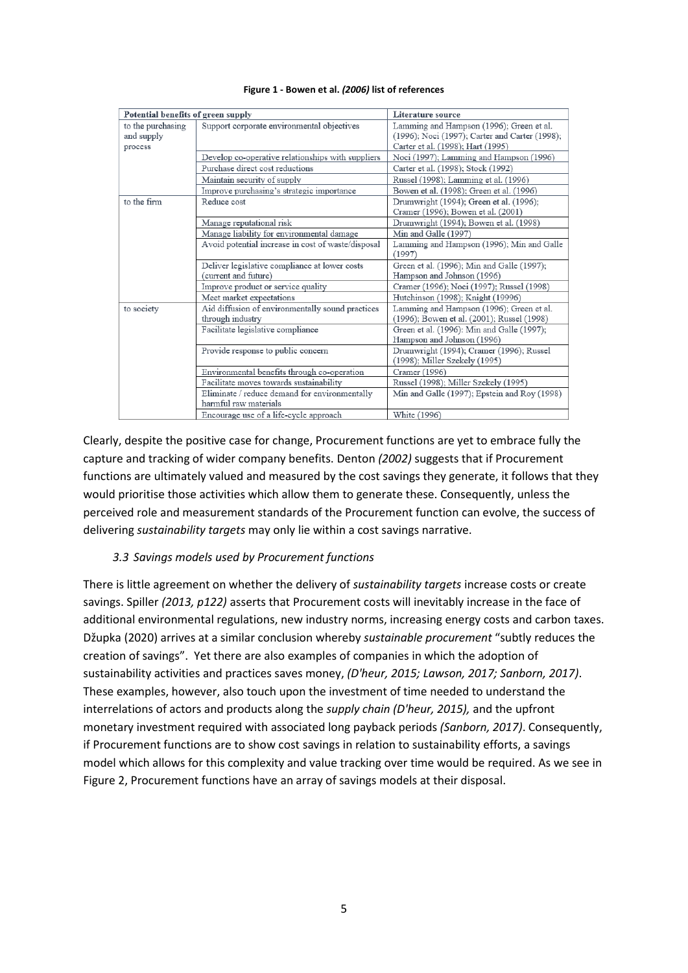| Potential benefits of green supply         |                                                                       | Literature source                                                                                                               |
|--------------------------------------------|-----------------------------------------------------------------------|---------------------------------------------------------------------------------------------------------------------------------|
| to the purchasing<br>and supply<br>process | Support corporate environmental objectives                            | Lamming and Hampson (1996); Green et al.<br>(1996); Noci (1997); Carter and Carter (1998);<br>Carter et al. (1998); Hart (1995) |
|                                            | Develop co-operative relationships with suppliers                     | Noci (1997); Lamming and Hampson (1996)                                                                                         |
|                                            | Purchase direct cost reductions                                       | Carter et al. (1998); Stock (1992)                                                                                              |
|                                            | Maintain security of supply                                           | Russel (1998); Lamming et al. (1996)                                                                                            |
|                                            | Improve purchasing's strategic importance                             | Bowen et al. (1998); Green et al. (1996)                                                                                        |
| to the firm                                | Reduce cost                                                           | Drumwright (1994); Green et al. (1996);<br>Cramer (1996); Bowen et al. (2001)                                                   |
|                                            | Manage reputational risk                                              | Drumwright (1994); Bowen et al. (1998)                                                                                          |
|                                            | Manage liability for environmental damage                             | Min and Galle (1997)                                                                                                            |
|                                            | Avoid potential increase in cost of waste/disposal                    | Lamming and Hampson (1996); Min and Galle<br>(1997)                                                                             |
|                                            | Deliver legislative compliance at lower costs<br>(current and future) | Green et al. (1996); Min and Galle (1997);<br>Hampson and Johnson (1996)                                                        |
|                                            | Improve product or service quality                                    | Cramer (1996); Noci (1997); Russel (1998)                                                                                       |
|                                            | Meet market expectations                                              | Hutchinson (1998); Knight (19996)                                                                                               |
| to society                                 | Aid diffusion of environmentally sound practices<br>through industry  | Lamming and Hampson (1996); Green et al.<br>(1996); Bowen et al. (2001); Russel (1998)                                          |
|                                            | Facilitate legislative compliance                                     | Green et al. (1996): Min and Galle (1997);<br>Hampson and Johnson (1996)                                                        |
|                                            | Provide response to public concern                                    | Drumwright (1994); Cramer (1996); Russel<br>(1998); Miller Szekely (1995)                                                       |
|                                            | Environmental benefits through co-operation                           | Cramer (1996)                                                                                                                   |
|                                            | Facilitate moves towards sustainability                               | Russel (1998); Miller Szekely (1995)                                                                                            |
|                                            | Eliminate / reduce demand for environmentally                         | Min and Galle (1997); Epstein and Roy (1998)                                                                                    |
|                                            | harmful raw materials                                                 |                                                                                                                                 |
|                                            | Encourage use of a life-cycle approach                                | White (1996)                                                                                                                    |

#### **Figure 1 - Bowen et al.** *(2006)* **list of references**

Clearly, despite the positive case for change, Procurement functions are yet to embrace fully the capture and tracking of wider company benefits. Denton *(2002)* suggests that if Procurement functions are ultimately valued and measured by the cost savings they generate, it follows that they would prioritise those activities which allow them to generate these. Consequently, unless the perceived role and measurement standards of the Procurement function can evolve, the success of delivering *sustainability targets* may only lie within a cost savings narrative.

## *3.3 Savings models used by Procurement functions*

There is little agreement on whether the delivery of *sustainability targets* increase costs or create savings. Spiller *(2013, p122)* asserts that Procurement costs will inevitably increase in the face of additional environmental regulations, new industry norms, increasing energy costs and carbon taxes. Džupka (2020) arrives at a similar conclusion whereby *sustainable procurement* "subtly reduces the creation of savings". Yet there are also examples of companies in which the adoption of sustainability activities and practices saves money, *(D'heur, 2015; Lawson, 2017; Sanborn, 2017)*. These examples, however, also touch upon the investment of time needed to understand the interrelations of actors and products along the *supply chain (D'heur, 2015),* and the upfront monetary investment required with associated long payback periods *(Sanborn, 2017)*. Consequently, if Procurement functions are to show cost savings in relation to sustainability efforts, a savings model which allows for this complexity and value tracking over time would be required. As we see in Figure 2, Procurement functions have an array of savings models at their disposal.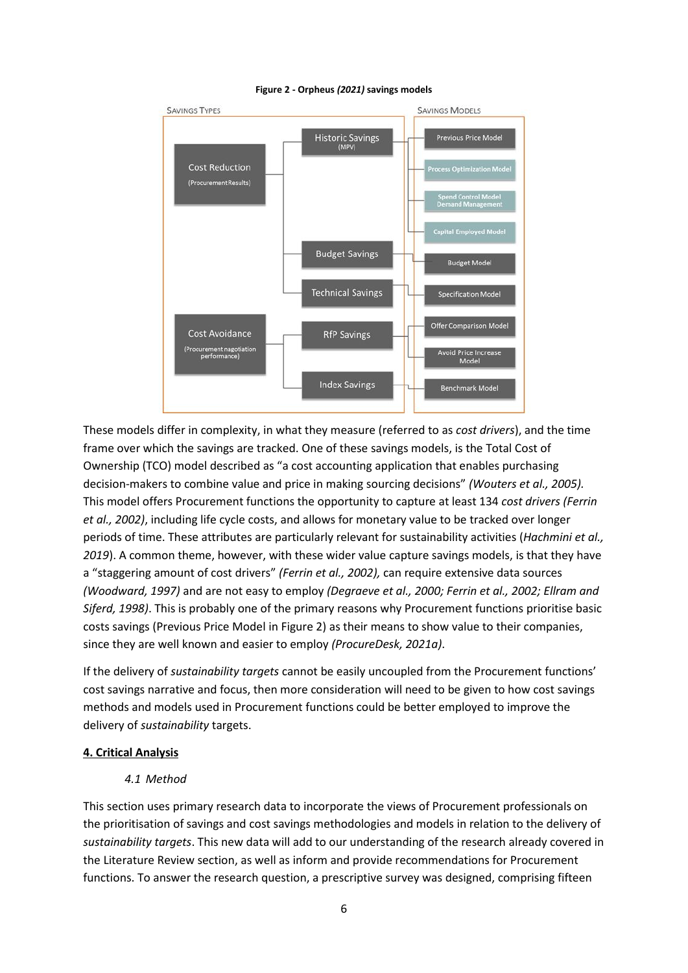

#### **Figure 2 - Orpheus** *(2021)* **savings models**

These models differ in complexity, in what they measure (referred to as *cost drivers*), and the time frame over which the savings are tracked. One of these savings models, is the Total Cost of Ownership (TCO) model described as "a cost accounting application that enables purchasing decision-makers to combine value and price in making sourcing decisions" *(Wouters et al., 2005).*  This model offers Procurement functions the opportunity to capture at least 134 *cost drivers (Ferrin et al., 2002)*, including life cycle costs, and allows for monetary value to be tracked over longer periods of time. These attributes are particularly relevant for sustainability activities (*Hachmini et al., 2019*). A common theme, however, with these wider value capture savings models, is that they have a "staggering amount of cost drivers" *(Ferrin et al., 2002),* can require extensive data sources *(Woodward, 1997)* and are not easy to employ *(Degraeve et al., 2000; Ferrin et al., 2002; Ellram and Siferd, 1998)*. This is probably one of the primary reasons why Procurement functions prioritise basic costs savings (Previous Price Model in Figure 2) as their means to show value to their companies, since they are well known and easier to employ *(ProcureDesk, 2021a)*.

If the delivery of *sustainability targets* cannot be easily uncoupled from the Procurement functions' cost savings narrative and focus, then more consideration will need to be given to how cost savings methods and models used in Procurement functions could be better employed to improve the delivery of *sustainability* targets.

## **4. Critical Analysis**

## *4.1 Method*

This section uses primary research data to incorporate the views of Procurement professionals on the prioritisation of savings and cost savings methodologies and models in relation to the delivery of *sustainability targets*. This new data will add to our understanding of the research already covered in the Literature Review section, as well as inform and provide recommendations for Procurement functions. To answer the research question, a prescriptive survey was designed, comprising fifteen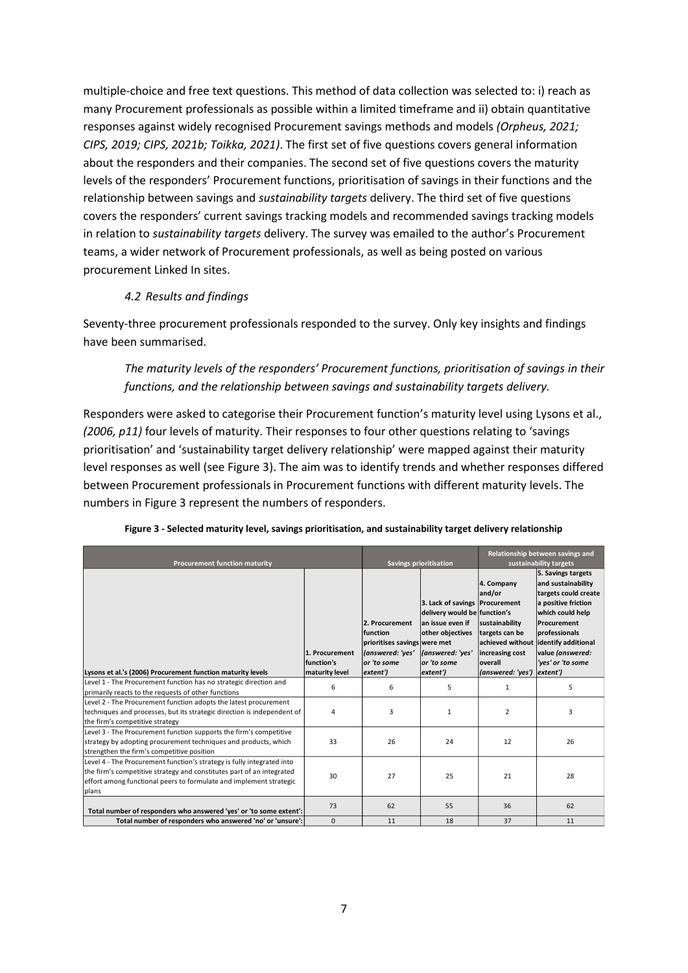multiple-choice and free text questions. This method of data collection was selected to: i) reach as many Procurement professionals as possible within a limited timeframe and ii) obtain quantitative responses against widely recognised Procurement savings methods and models *(Orpheus, 2021; CIPS, 2019; CIPS, 2021b; Toikka, 2021)*. The first set of five questions covers general information about the responders and their companies. The second set of five questions covers the maturity levels of the responders' Procurement functions, prioritisation of savings in their functions and the relationship between savings and *sustainability targets* delivery. The third set of five questions covers the responders' current savings tracking models and recommended savings tracking models in relation to *sustainability targets* delivery. The survey was emailed to the author's Procurement teams, a wider network of Procurement professionals, as well as being posted on various procurement Linked In sites.

## *4.2 Results and findings*

Seventy-three procurement professionals responded to the survey. Only key insights and findings have been summarised.

*The maturity levels of the responders' Procurement functions, prioritisation of savings in their functions, and the relationship between savings and sustainability targets delivery.*

Responders were asked to categorise their Procurement function's maturity level using Lysons et al., *(2006, p11)* four levels of maturity. Their responses to four other questions relating to 'savings prioritisation' and 'sustainability target delivery relationship' were mapped against their maturity level responses as well (see Figure 3). The aim was to identify trends and whether responses differed between Procurement professionals in Procurement functions with different maturity levels. The numbers in Figure 3 represent the numbers of responders.

| <b>Procurement function maturity</b>                                                                                                                                                                                           |                              | <b>Savings prioritisation</b>                                                                 |                                                                                                                                           | Relationship between savings and<br>sustainability targets                                                 |                                                                                                                                                                                                             |
|--------------------------------------------------------------------------------------------------------------------------------------------------------------------------------------------------------------------------------|------------------------------|-----------------------------------------------------------------------------------------------|-------------------------------------------------------------------------------------------------------------------------------------------|------------------------------------------------------------------------------------------------------------|-------------------------------------------------------------------------------------------------------------------------------------------------------------------------------------------------------------|
|                                                                                                                                                                                                                                | 1. Procurement<br>function's | 2. Procurement<br>function<br>prioritises savings were met<br>(answered: 'yes'<br>or 'to some | 3. Lack of savings Procurement<br>delivery would be function's<br>an issue even if<br>other objectives<br>(answered: 'yes'<br>or 'to some | 4. Company<br>and/or<br>sustainability<br>targets can be<br>achieved without<br>increasing cost<br>overall | 5. Savings targets<br>and sustainability<br>targets could create<br>a positive friction<br>which could help<br>Procurement<br>professionals<br>identify additional<br>value (answered:<br>'yes' or 'to some |
| Lysons et al.'s (2006) Procurement function maturity levels<br>Level 1 - The Procurement function has no strategic direction and                                                                                               | maturity level               | extent')                                                                                      | extent')                                                                                                                                  | (answered: 'yes')                                                                                          | extent')                                                                                                                                                                                                    |
| primarily reacts to the requests of other functions                                                                                                                                                                            | 6                            | 6                                                                                             | 5                                                                                                                                         | 1                                                                                                          | 5                                                                                                                                                                                                           |
| Level 2 - The Procurement function adopts the latest procurement<br>techniques and processes, but its strategic direction is independent of<br>the firm's competitive strategy                                                 | 4                            | 3                                                                                             | $\mathbf{1}$                                                                                                                              | $\overline{2}$                                                                                             | 3                                                                                                                                                                                                           |
| Level 3 - The Procurement function supports the firm's competitive<br>strategy by adopting procurement techniques and products, which<br>strengthen the firm's competitive position                                            | 33                           | 26                                                                                            | 24                                                                                                                                        | 12                                                                                                         | 26                                                                                                                                                                                                          |
| Level 4 - The Procurement function's strategy is fully integrated into<br>the firm's competitive strategy and constitutes part of an integrated<br>effort among functional peers to formulate and implement strategic<br>plans | 30                           | 27                                                                                            | 25                                                                                                                                        | 21                                                                                                         | 28                                                                                                                                                                                                          |
| Total number of responders who answered 'yes' or 'to some extent':                                                                                                                                                             | 73                           | 62                                                                                            | 55                                                                                                                                        | 36                                                                                                         | 62                                                                                                                                                                                                          |
| Total number of responders who answered 'no' or 'unsure':                                                                                                                                                                      | $\mathbf{0}$                 | 11                                                                                            | 18                                                                                                                                        | 37                                                                                                         | 11                                                                                                                                                                                                          |

#### **Figure 3 - Selected maturity level, savings prioritisation, and sustainability target delivery relationship**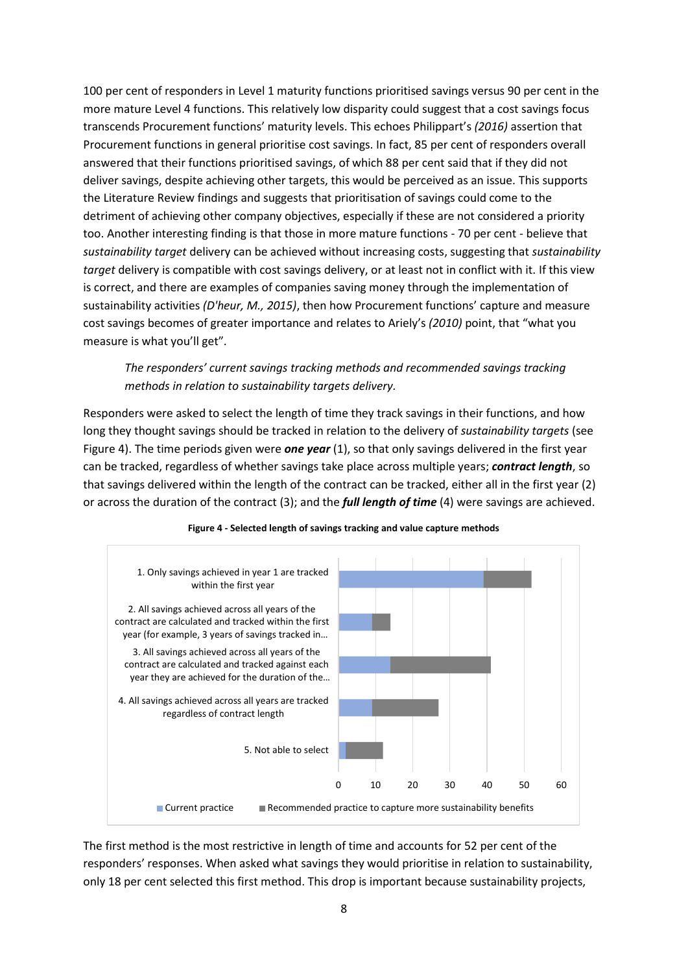100 per cent of responders in Level 1 maturity functions prioritised savings versus 90 per cent in the more mature Level 4 functions. This relatively low disparity could suggest that a cost savings focus transcends Procurement functions' maturity levels. This echoes Philippart's *(2016)* assertion that Procurement functions in general prioritise cost savings. In fact, 85 per cent of responders overall answered that their functions prioritised savings, of which 88 per cent said that if they did not deliver savings, despite achieving other targets, this would be perceived as an issue. This supports the Literature Review findings and suggests that prioritisation of savings could come to the detriment of achieving other company objectives, especially if these are not considered a priority too. Another interesting finding is that those in more mature functions - 70 per cent - believe that *sustainability target* delivery can be achieved without increasing costs, suggesting that *sustainability target* delivery is compatible with cost savings delivery, or at least not in conflict with it. If this view is correct, and there are examples of companies saving money through the implementation of sustainability activities *(D'heur, M., 2015)*, then how Procurement functions' capture and measure cost savings becomes of greater importance and relates to Ariely's *(2010)* point, that "what you measure is what you'll get".

## *The responders' current savings tracking methods and recommended savings tracking methods in relation to sustainability targets delivery.*

Responders were asked to select the length of time they track savings in their functions, and how long they thought savings should be tracked in relation to the delivery of *sustainability targets* (see Figure 4). The time periods given were **one year** (1), so that only savings delivered in the first year can be tracked, regardless of whether savings take place across multiple years; *contract length*, so that savings delivered within the length of the contract can be tracked, either all in the first year (2) or across the duration of the contract (3); and the *full length of time* (4) were savings are achieved.



#### **Figure 4 - Selected length of savings tracking and value capture methods**

The first method is the most restrictive in length of time and accounts for 52 per cent of the responders' responses. When asked what savings they would prioritise in relation to sustainability, only 18 per cent selected this first method. This drop is important because sustainability projects,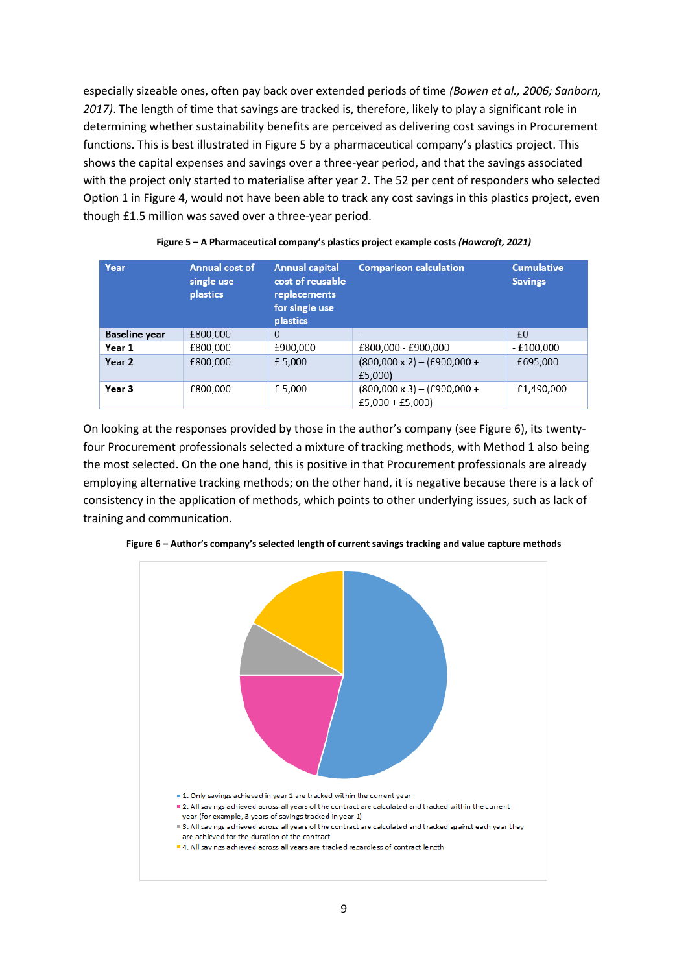especially sizeable ones, often pay back over extended periods of time *(Bowen et al., 2006; Sanborn, 2017)*. The length of time that savings are tracked is, therefore, likely to play a significant role in determining whether sustainability benefits are perceived as delivering cost savings in Procurement functions. This is best illustrated in Figure 5 by a pharmaceutical company's plastics project. This shows the capital expenses and savings over a three-year period, and that the savings associated with the project only started to materialise after year 2. The 52 per cent of responders who selected Option 1 in Figure 4, would not have been able to track any cost savings in this plastics project, even though £1.5 million was saved over a three-year period.

| Year                 | <b>Annual cost of</b><br>single use<br><b>plastics</b> | <b>Annual capital</b><br>cost of reusable<br>replacements<br>for single use<br><b>plastics</b> | <b>Comparison calculation</b>                            | <b>Cumulative</b><br><b>Savings</b> |
|----------------------|--------------------------------------------------------|------------------------------------------------------------------------------------------------|----------------------------------------------------------|-------------------------------------|
| <b>Baseline</b> year | £800,000                                               | $\Omega$                                                                                       | $\overline{\phantom{a}}$                                 | £0                                  |
| Year 1               | £800,000                                               | £900,000                                                                                       | £800,000 - £900,000                                      | $-£100,000$                         |
| Year 2               | £800,000                                               | £5,000                                                                                         | $(800,000 \times 2) - (£900,000 +$<br>£5,000             | £695,000                            |
| Year 3               | £800,000                                               | £5,000                                                                                         | $(800,000 \times 3) - (£900,000 +$<br>$£5,000 + £5,000)$ | £1,490,000                          |

| Figure 5 - A Pharmaceutical company's plastics project example costs (Howcroft, 2021) |  |  |
|---------------------------------------------------------------------------------------|--|--|
|                                                                                       |  |  |
|                                                                                       |  |  |

On looking at the responses provided by those in the author's company (see Figure 6), its twentyfour Procurement professionals selected a mixture of tracking methods, with Method 1 also being the most selected. On the one hand, this is positive in that Procurement professionals are already employing alternative tracking methods; on the other hand, it is negative because there is a lack of consistency in the application of methods, which points to other underlying issues, such as lack of training and communication.



**Figure 6 – Author's company's selected length of current savings tracking and value capture methods**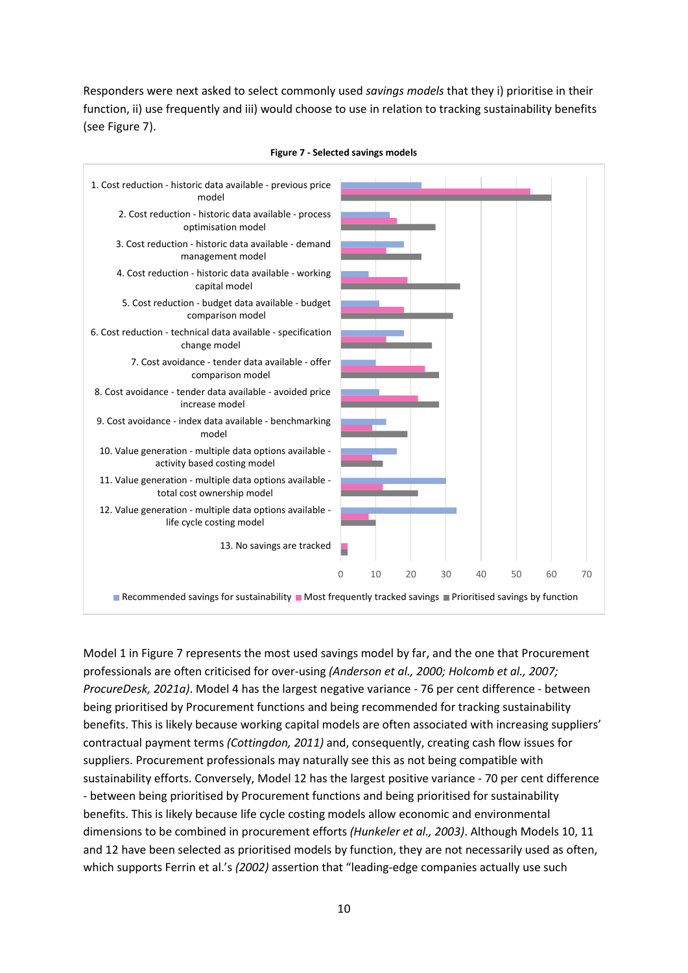Responders were next asked to select commonly used *savings models* that they i) prioritise in their function, ii) use frequently and iii) would choose to use in relation to tracking sustainability benefits (see Figure 7).



#### **Figure 7 - Selected savings models**

Model 1 in Figure 7 represents the most used savings model by far, and the one that Procurement professionals are often criticised for over-using *(Anderson et al., 2000; Holcomb et al., 2007; ProcureDesk, 2021a)*. Model 4 has the largest negative variance - 76 per cent difference - between being prioritised by Procurement functions and being recommended for tracking sustainability benefits. This is likely because working capital models are often associated with increasing suppliers' contractual payment terms *(Cottingdon, 2011)* and, consequently, creating cash flow issues for suppliers. Procurement professionals may naturally see this as not being compatible with sustainability efforts. Conversely, Model 12 has the largest positive variance - 70 per cent difference - between being prioritised by Procurement functions and being prioritised for sustainability benefits. This is likely because life cycle costing models allow economic and environmental dimensions to be combined in procurement efforts *(Hunkeler et al., 2003)*. Although Models 10, 11 and 12 have been selected as prioritised models by function, they are not necessarily used as often, which supports Ferrin et al.'s *(2002)* assertion that "leading-edge companies actually use such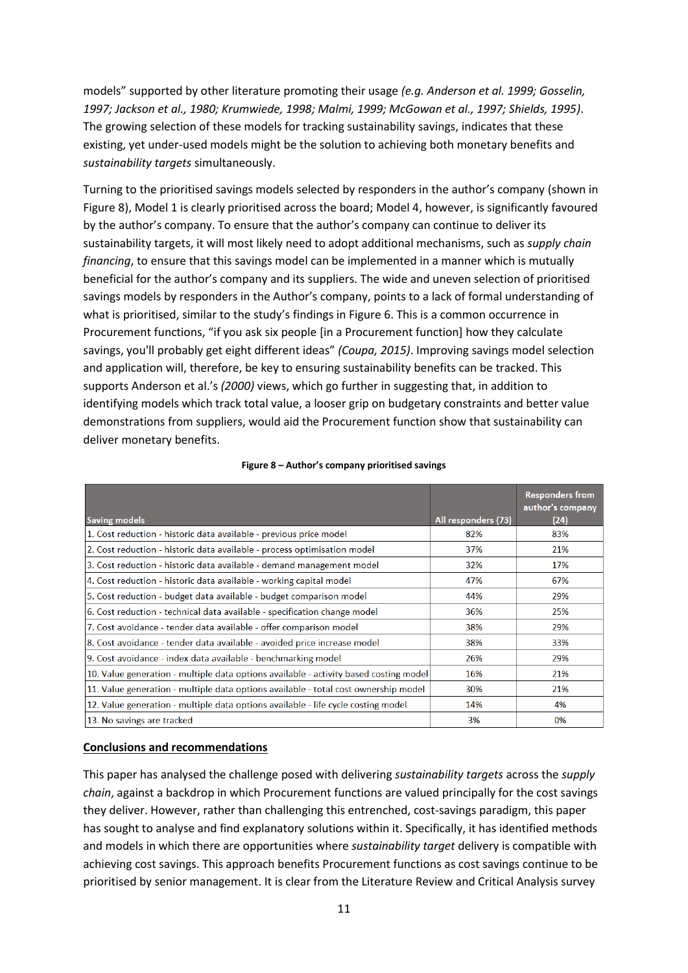models" supported by other literature promoting their usage *(e.g. Anderson et al. 1999; Gosselin, 1997; Jackson et al., 1980; Krumwiede, 1998; Malmi, 1999; McGowan et al., 1997; Shields, 1995)*. The growing selection of these models for tracking sustainability savings, indicates that these existing, yet under-used models might be the solution to achieving both monetary benefits and *sustainability targets* simultaneously.

Turning to the prioritised savings models selected by responders in the author's company (shown in Figure 8), Model 1 is clearly prioritised across the board; Model 4, however, is significantly favoured by the author's company. To ensure that the author's company can continue to deliver its sustainability targets, it will most likely need to adopt additional mechanisms, such as *supply chain financing*, to ensure that this savings model can be implemented in a manner which is mutually beneficial for the author's company and its suppliers. The wide and uneven selection of prioritised savings models by responders in the Author's company, points to a lack of formal understanding of what is prioritised, similar to the study's findings in Figure 6. This is a common occurrence in Procurement functions, "if you ask six people [in a Procurement function] how they calculate savings, you'll probably get eight different ideas" *(Coupa, 2015)*. Improving savings model selection and application will, therefore, be key to ensuring sustainability benefits can be tracked. This supports Anderson et al.'s *(2000)* views, which go further in suggesting that, in addition to identifying models which track total value, a looser grip on budgetary constraints and better value demonstrations from suppliers, would aid the Procurement function show that sustainability can deliver monetary benefits.

|                                                                                       |                     | <b>Responders from</b><br>author's company |
|---------------------------------------------------------------------------------------|---------------------|--------------------------------------------|
| <b>Saving models</b>                                                                  | All responders (73) | (24)                                       |
| 1. Cost reduction - historic data available - previous price model                    | 82%                 | 83%                                        |
| 2. Cost reduction - historic data available - process optimisation model              | 37%                 | 21%                                        |
| 3. Cost reduction - historic data available - demand management model                 | 32%                 | 17%                                        |
| 4. Cost reduction - historic data available - working capital model                   | 47%                 | 67%                                        |
| 5. Cost reduction - budget data available - budget comparison model                   | 44%                 | 29%                                        |
| 6. Cost reduction - technical data available - specification change model             | 36%                 | 25%                                        |
| 7. Cost avoidance - tender data available - offer comparison model                    | 38%                 | 29%                                        |
| 8. Cost avoidance - tender data available - avoided price increase model              | 38%                 | 33%                                        |
| 9. Cost avoidance - index data available - benchmarking model                         | 26%                 | 29%                                        |
| 10. Value generation - multiple data options available - activity based costing model | 16%                 | 21%                                        |
| 11. Value generation - multiple data options available - total cost ownership model   | 30%                 | 21%                                        |
| 12. Value generation - multiple data options available - life cycle costing model     | 14%                 | 4%                                         |
| 13. No savings are tracked                                                            | 3%                  | 0%                                         |

#### **Figure 8 – Author's company prioritised savings**

#### **Conclusions and recommendations**

This paper has analysed the challenge posed with delivering *sustainability targets* across the *supply chain*, against a backdrop in which Procurement functions are valued principally for the cost savings they deliver. However, rather than challenging this entrenched, cost-savings paradigm, this paper has sought to analyse and find explanatory solutions within it. Specifically, it has identified methods and models in which there are opportunities where *sustainability target* delivery is compatible with achieving cost savings. This approach benefits Procurement functions as cost savings continue to be prioritised by senior management. It is clear from the Literature Review and Critical Analysis survey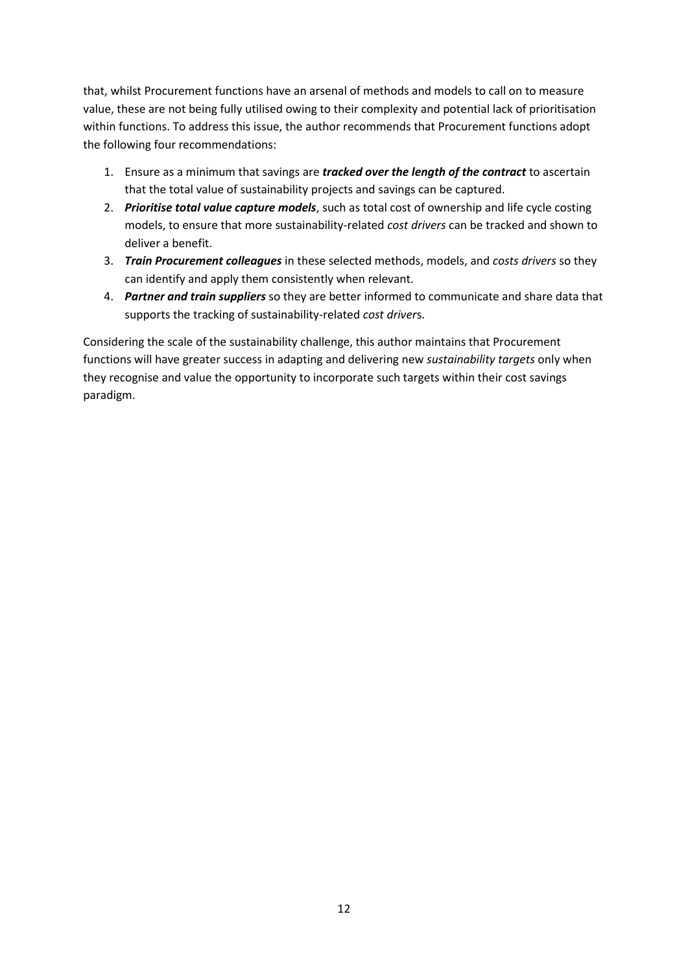that, whilst Procurement functions have an arsenal of methods and models to call on to measure value, these are not being fully utilised owing to their complexity and potential lack of prioritisation within functions. To address this issue, the author recommends that Procurement functions adopt the following four recommendations:

- 1. Ensure as a minimum that savings are *tracked over the length of the contract* to ascertain that the total value of sustainability projects and savings can be captured.
- 2. *Prioritise total value capture models*, such as total cost of ownership and life cycle costing models, to ensure that more sustainability-related *cost drivers* can be tracked and shown to deliver a benefit.
- 3. *Train Procurement colleagues* in these selected methods, models, and *costs drivers* so they can identify and apply them consistently when relevant.
- 4. *Partner and train suppliers* so they are better informed to communicate and share data that supports the tracking of sustainability-related *cost driver*s.

Considering the scale of the sustainability challenge, this author maintains that Procurement functions will have greater success in adapting and delivering new *sustainability targets* only when they recognise and value the opportunity to incorporate such targets within their cost savings paradigm.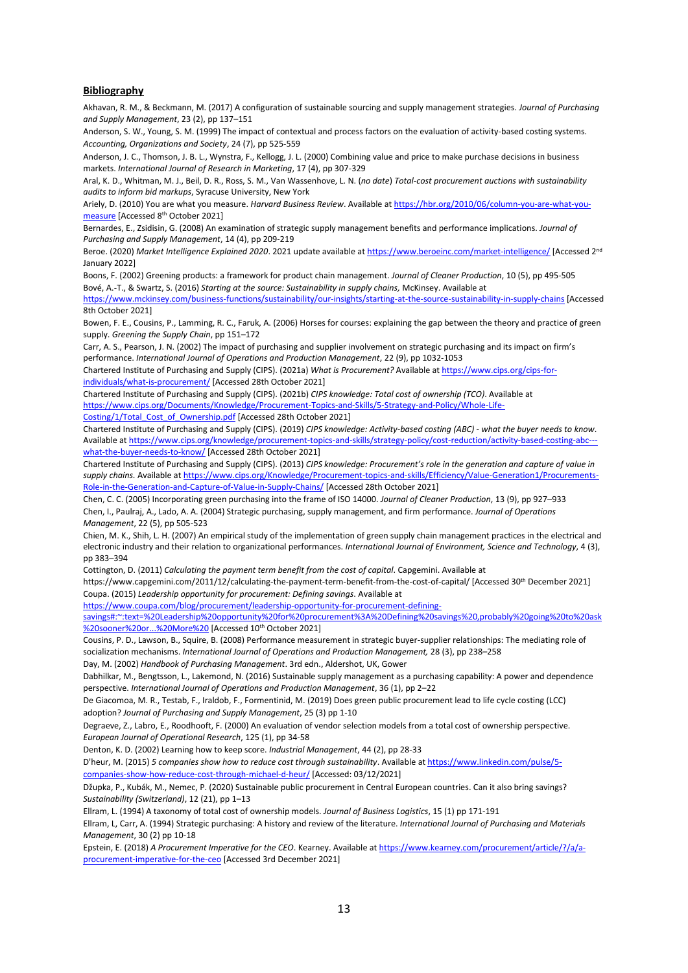#### **Bibliography**

Akhavan, R. M., & Beckmann, M. (2017) A configuration of sustainable sourcing and supply management strategies. *Journal of Purchasing and Supply Management*, 23 (2), pp 137–151

Anderson, S. W., Young, S. M. (1999) The impact of contextual and process factors on the evaluation of activity-based costing systems. *Accounting, Organizations and Society*, 24 (7), pp 525-559

Anderson, J. C., Thomson, J. B. L., Wynstra, F., Kellogg, J. L. (2000) Combining value and price to make purchase decisions in business markets. *International Journal of Research in Marketing*, 17 (4), pp 307-329

Aral, K. D., Whitman, M. J., Beil, D. R., Ross, S. M., Van Wassenhove, L. N. (*no date*) *Total-cost procurement auctions with sustainability audits to inform bid markups*, Syracuse University, New York

Ariely, D. (2010) You are what you measure. *Harvard Business Review*. Available a[t https://hbr.org/2010/06/column-you-are-what-you](https://hbr.org/2010/06/column-you-are-what-you-measure)[measure](https://hbr.org/2010/06/column-you-are-what-you-measure) [Accessed 8th October 2021]

Bernardes, E., Zsidisin, G. (2008) An examination of strategic supply management benefits and performance implications. *Journal of Purchasing and Supply Management*, 14 (4), pp 209-219

Beroe. (2020) *Market Intelligence Explained 2020*. 2021 update available a[t https://www.beroeinc.com/market-intelligence/](https://www.beroeinc.com/market-intelligence/) [Accessed 2nd January 2022]

Boons, F. (2002) Greening products: a framework for product chain management. *Journal of Cleaner Production*, 10 (5), pp 495-505 Bové, A.-T., & Swartz, S. (2016) *Starting at the source: Sustainability in supply chains,* McKinsey. Available at

<https://www.mckinsey.com/business-functions/sustainability/our-insights/starting-at-the-source-sustainability-in-supply-chains> [Accessed 8th October 2021]

Bowen, F. E., Cousins, P., Lamming, R. C., Faruk, A. (2006) Horses for courses: explaining the gap between the theory and practice of green supply. *Greening the Supply Chain*, pp 151–172

Carr, A. S., Pearson, J. N. (2002) The impact of purchasing and supplier involvement on strategic purchasing and its impact on firm's performance. *International Journal of Operations and Production Management*, 22 (9), pp 1032-1053

Chartered Institute of Purchasing and Supply (CIPS). (2021a) *What is Procurement?* Available a[t https://www.cips.org/cips-for](https://www.cips.org/cips-for-individuals/what-is-procurement/)[individuals/what-is-procurement/](https://www.cips.org/cips-for-individuals/what-is-procurement/) [Accessed 28th October 2021]

Chartered Institute of Purchasing and Supply (CIPS). (2021b) *CIPS knowledge: Total cost of ownership (TCO)*. Available at [https://www.cips.org/Documents/Knowledge/Procurement-Topics-and-Skills/5-Strategy-and-Policy/Whole-Life-](https://www.cips.org/Documents/Knowledge/Procurement-Topics-and-Skills/5-Strategy-and-Policy/Whole-Life-Costing/1/Total_Cost_of_Ownership.pdf)

[Costing/1/Total\\_Cost\\_of\\_Ownership.pdf](https://www.cips.org/Documents/Knowledge/Procurement-Topics-and-Skills/5-Strategy-and-Policy/Whole-Life-Costing/1/Total_Cost_of_Ownership.pdf) [Accessed 28th October 2021]

Chartered Institute of Purchasing and Supply (CIPS). (2019) *CIPS knowledge: Activity-based costing (ABC) - what the buyer needs to know*. Available at https://www.cips.org/knowledge/procurement-topics-and-skills/strategy-policy/cost-reduction/activity-based-costing-abc [what-the-buyer-needs-to-know/](https://www.cips.org/knowledge/procurement-topics-and-skills/strategy-policy/cost-reduction/activity-based-costing-abc---what-the-buyer-needs-to-know/) [Accessed 28th October 2021]

Chartered Institute of Purchasing and Supply (CIPS). (2013) *CIPS knowledge: Procurement's role in the generation and capture of value in supply chains.* Available a[t https://www.cips.org/Knowledge/Procurement-topics-and-skills/Efficiency/Value-Generation1/Procurements-](https://www.cips.org/Knowledge/Procurement-topics-and-skills/Efficiency/Value-Generation1/Procurements-Role-in-the-Generation-and-Capture-of-Value-in-Supply-Chains/)[Role-in-the-Generation-and-Capture-of-Value-in-Supply-Chains/](https://www.cips.org/Knowledge/Procurement-topics-and-skills/Efficiency/Value-Generation1/Procurements-Role-in-the-Generation-and-Capture-of-Value-in-Supply-Chains/) [Accessed 28th October 2021]

Chen, C. C. (2005) Incorporating green purchasing into the frame of ISO 14000. *Journal of Cleaner Production*, 13 (9), pp 927–933 Chen, I., Paulraj, A., Lado, A. A. (2004) Strategic purchasing, supply management, and firm performance. *Journal of Operations Management*, 22 (5), pp 505-523

Chien, M. K., Shih, L. H. (2007) An empirical study of the implementation of green supply chain management practices in the electrical and electronic industry and their relation to organizational performances. *International Journal of Environment, Science and Technology*, 4 (3), pp 383–394

Cottington, D. (2011) *Calculating the payment term benefit from the cost of capital*. Capgemini. Available at

https://www.capgemini.com/2011/12/calculating-the-payment-term-benefit-from-the-cost-of-capital/ [Accessed 30th December 2021] Coupa. (2015) *Leadership opportunity for procurement: Defining savings*. Available at

[https://www.coupa.com/blog/procurement/leadership-opportunity-for-procurement-defining-](https://www.coupa.com/blog/procurement/leadership-opportunity-for-procurement-defining-savings#:~:text=%20Leadership%20opportunity%20for%20procurement%3A%20Defining%20savings%20,probably%20going%20to%20ask%20sooner%20or...%20More%20)

[savings#:~:text=%20Leadership%20opportunity%20for%20procurement%3A%20Defining%20savings%20,probably%20going%20to%20ask](https://www.coupa.com/blog/procurement/leadership-opportunity-for-procurement-defining-savings#:~:text=%20Leadership%20opportunity%20for%20procurement%3A%20Defining%20savings%20,probably%20going%20to%20ask%20sooner%20or...%20More%20) 620sooner%20or...%20More%20 [Accessed 10<sup>th</sup> October 2021]

Cousins, P. D., Lawson, B., Squire, B. (2008) Performance measurement in strategic buyer-supplier relationships: The mediating role of socialization mechanisms. *International Journal of Operations and Production Management,* 28 (3), pp 238–258

Day, M. (2002) *Handbook of Purchasing Management*. 3rd edn., Aldershot, UK, Gower

Dabhilkar, M., Bengtsson, L., Lakemond, N. (2016) Sustainable supply management as a purchasing capability: A power and dependence perspective. *International Journal of Operations and Production Management*, 36 (1), pp 2–22

De Giacomoa, M. R., Testab, F., Iraldob, F., Formentinid, M. (2019) Does green public procurement lead to life cycle costing (LCC) adoption? *Journal of Purchasing and Supply Management*, 25 (3) pp 1-10

Degraeve, Z., Labro, E., Roodhooft, F. (2000) An evaluation of vendor selection models from a total cost of ownership perspective. *European Journal of Operational Research*, 125 (1), pp 34-58

Denton, K. D. (2002) Learning how to keep score. *Industrial Management*, 44 (2), pp 28-33

D'heur, M. (2015) *5 companies show how to reduce cost through sustainability*. Available a[t https://www.linkedin.com/pulse/5](https://www.linkedin.com/pulse/5-companies-show-how-reduce-cost-through-michael-d-heur/) [companies-show-how-reduce-cost-through-michael-d-heur/](https://www.linkedin.com/pulse/5-companies-show-how-reduce-cost-through-michael-d-heur/) [Accessed: 03/12/2021]

Džupka, P., Kubák, M., Nemec, P. (2020) Sustainable public procurement in Central European countries. Can it also bring savings? *Sustainability (Switzerland)*, 12 (21), pp 1–13

Ellram, L. (1994) A taxonomy of total cost of ownership models. *Journal of Business Logistics*, 15 (1) pp 171-191

Ellram, L, Carr, A. (1994) Strategic purchasing: A history and review of the literature. *International Journal of Purchasing and Materials Management*, 30 (2) pp 10-18

Epstein, E. (2018) *A Procurement Imperative for the CEO*. Kearney. Available a[t https://www.kearney.com/procurement/article/?/a/a](https://www.kearney.com/procurement/article/?/a/a-procurement-imperative-for-the-ceo)[procurement-imperative-for-the-ceo](https://www.kearney.com/procurement/article/?/a/a-procurement-imperative-for-the-ceo) [Accessed 3rd December 2021]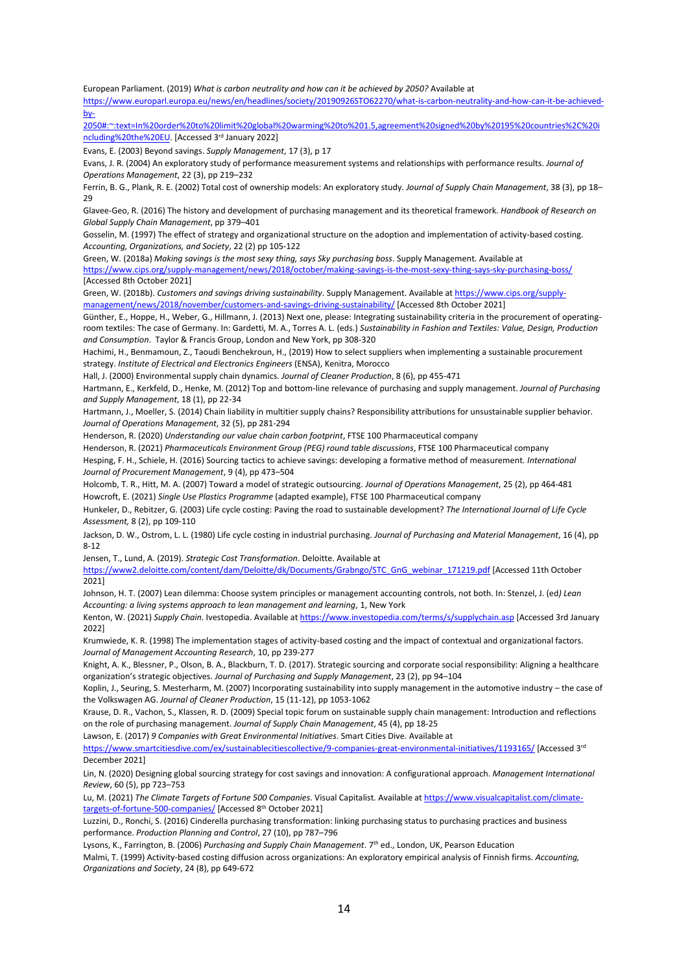European Parliament. (2019) *What is carbon neutrality and how can it be achieved by 2050?* Available at

[https://www.europarl.europa.eu/news/en/headlines/society/20190926STO62270/what-is-carbon-neutrality-and-how-can-it-be-achieved](https://www.europarl.europa.eu/news/en/headlines/society/20190926STO62270/what-is-carbon-neutrality-and-how-can-it-be-achieved-by-2050#:~:text=In%20order%20to%20limit%20global%20warming%20to%201.5,agreement%20signed%20by%20195%20countries%2C%20including%20the%20EU)[by-](https://www.europarl.europa.eu/news/en/headlines/society/20190926STO62270/what-is-carbon-neutrality-and-how-can-it-be-achieved-by-2050#:~:text=In%20order%20to%20limit%20global%20warming%20to%201.5,agreement%20signed%20by%20195%20countries%2C%20including%20the%20EU)

[2050#:~:text=In%20order%20to%20limit%20global%20warming%20to%201.5,agreement%20signed%20by%20195%20countries%2C%20i](https://www.europarl.europa.eu/news/en/headlines/society/20190926STO62270/what-is-carbon-neutrality-and-how-can-it-be-achieved-by-2050#:~:text=In%20order%20to%20limit%20global%20warming%20to%201.5,agreement%20signed%20by%20195%20countries%2C%20including%20the%20EU) [ncluding%20the%20EU.](https://www.europarl.europa.eu/news/en/headlines/society/20190926STO62270/what-is-carbon-neutrality-and-how-can-it-be-achieved-by-2050#:~:text=In%20order%20to%20limit%20global%20warming%20to%201.5,agreement%20signed%20by%20195%20countries%2C%20including%20the%20EU) [Accessed 3rd January 2022]

Evans, E. (2003) Beyond savings. *Supply Management*, 17 (3), p 17

Evans, J. R. (2004) An exploratory study of performance measurement systems and relationships with performance results. *Journal of Operations Management*, 22 (3), pp 219–232

Ferrin, B. G., Plank, R. E. (2002) Total cost of ownership models: An exploratory study. *Journal of Supply Chain Management*, 38 (3), pp 18–  $29$ 

Glavee-Geo, R. (2016) The history and development of purchasing management and its theoretical framework. *Handbook of Research on Global Supply Chain Management*, pp 379–401

Gosselin, M. (1997) The effect of strategy and organizational structure on the adoption and implementation of activity-based costing. *Accounting, Organizations, and Society*, 22 (2) pp 105-122

Green, W. (2018a) *Making savings is the most sexy thing, says Sky purchasing boss*. Supply Management. Available at <https://www.cips.org/supply-management/news/2018/october/making-savings-is-the-most-sexy-thing-says-sky-purchasing-boss/> [Accessed 8th October 2021]

Green, W. (2018b). *Customers and savings driving sustainability*. Supply Management. Available a[t https://www.cips.org/supply](https://www.cips.org/supply-management/news/2018/november/customers-and-savings-driving-sustainability/)[management/news/2018/november/customers-and-savings-driving-sustainability/](https://www.cips.org/supply-management/news/2018/november/customers-and-savings-driving-sustainability/) [Accessed 8th October 2021]

Günther, E., Hoppe, H., Weber, G., Hillmann, J. (2013) Next one, please: Integrating sustainability criteria in the procurement of operatingroom textiles: The case of Germany. In: Gardetti, M. A., Torres A. L. (eds.) *Sustainability in Fashion and Textiles: Value, Design, Production and Consumption*. Taylor & Francis Group, London and New York, pp 308-320

Hachimi, H., Benmamoun, Z., Taoudi Benchekroun, H., (2019) How to select suppliers when implementing a sustainable procurement strategy. *Institute of Electrical and Electronics Engineers* (ENSA), Kenitra, Morocco

Hall, J. (2000) Environmental supply chain dynamics. *Journal of Cleaner Production*, 8 (6), pp 455-471

Hartmann, E., Kerkfeld, D., Henke, M. (2012) Top and bottom-line relevance of purchasing and supply management. *Journal of Purchasing and Supply Management*, 18 (1), pp 22-34

Hartmann, J., Moeller, S. (2014) Chain liability in multitier supply chains? Responsibility attributions for unsustainable supplier behavior. *Journal of Operations Management*, 32 (5), pp 281-294

Henderson, R. (2020) *Understanding our value chain carbon footprint*, FTSE 100 Pharmaceutical company

Henderson, R. (2021) *Pharmaceuticals Environment Group (PEG) round table discussions*, FTSE 100 Pharmaceutical company

Hesping, F. H., Schiele, H. (2016) Sourcing tactics to achieve savings: developing a formative method of measurement. *International Journal of Procurement Management*, 9 (4), pp 473–504

Holcomb, T. R., Hitt, M. A. (2007) Toward a model of strategic outsourcing. *Journal of Operations Management*, 25 (2), pp 464-481 Howcroft, E. (2021) *Single Use Plastics Programme* (adapted example), FTSE 100 Pharmaceutical company

Hunkeler, D., Rebitzer, G. (2003) Life cycle costing: Paving the road to sustainable development? *The International Journal of Life Cycle Assessment,* 8 (2), pp 109-110

Jackson, D. W., Ostrom, L. L. (1980) Life cycle costing in industrial purchasing. *Journal of Purchasing and Material Management*, 16 (4), pp 8-12

Jensen, T., Lund, A. (2019). *Strategic Cost Transformation*. Deloitte. Available at

[https://www2.deloitte.com/content/dam/Deloitte/dk/Documents/Grabngo/STC\\_GnG\\_webinar\\_171219.pdf](https://www2.deloitte.com/content/dam/Deloitte/dk/Documents/Grabngo/STC_GnG_webinar_171219.pdf) [Accessed 11th October 2021]

Johnson, H. T. (2007) Lean dilemma: Choose system principles or management accounting controls, not both. In: Stenzel, J. (ed*) Lean Accounting: a living systems approach to lean management and learning*, 1, New York

Kenton, W. (2021) *Supply Chain*. Ivestopedia. Available a[t https://www.investopedia.com/terms/s/supplychain.asp](https://www.investopedia.com/terms/s/supplychain.asp) [Accessed 3rd January 2022]

Krumwiede, K. R. (1998) The implementation stages of activity-based costing and the impact of contextual and organizational factors. *Journal of Management Accounting Research*, 10, pp 239-277

Knight, A. K., Blessner, P., Olson, B. A., Blackburn, T. D. (2017). Strategic sourcing and corporate social responsibility: Aligning a healthcare organization's strategic objectives. *Journal of Purchasing and Supply Management*, 23 (2), pp 94–104

Koplin, J., Seuring, S. Mesterharm, M. (2007) Incorporating sustainability into supply management in the automotive industry – the case of the Volkswagen AG. *Journal of Cleaner Production*, 15 (11-12), pp 1053-1062

Krause, D. R., Vachon, S., Klassen, R. D. (2009) Special topic forum on sustainable supply chain management: Introduction and reflections on the role of purchasing management. *Journal of Supply Chain Management*, 45 (4), pp 18-25

Lawson, E. (2017) *9 Companies with Great Environmental Initiatives*. Smart Cities Dive. Available at

<https://www.smartcitiesdive.com/ex/sustainablecitiescollective/9-companies-great-environmental-initiatives/1193165/> [Accessed 3rd December 2021]

Lin, N. (2020) Designing global sourcing strategy for cost savings and innovation: A configurational approach. *Management International Review*, 60 (5), pp 723–753

Lu, M. (2021) *The Climate Targets of Fortune 500 Companies*. Visual Capitalist. Available a[t https://www.visualcapitalist.com/climate](https://www.visualcapitalist.com/climate-targets-of-fortune-500-companies/)[targets-of-fortune-500-companies/](https://www.visualcapitalist.com/climate-targets-of-fortune-500-companies/) [Accessed 8<sup>th</sup> October 2021]

Luzzini, D., Ronchi, S. (2016) Cinderella purchasing transformation: linking purchasing status to purchasing practices and business performance. *Production Planning and Control*, 27 (10), pp 787–796

Lysons, K., Farrington, B. (2006) *Purchasing and Supply Chain Management*. 7th ed., London, UK, Pearson Education

Malmi, T. (1999) Activity-based costing diffusion across organizations: An exploratory empirical analysis of Finnish firms. *Accounting, Organizations and Society*, 24 (8), pp 649-672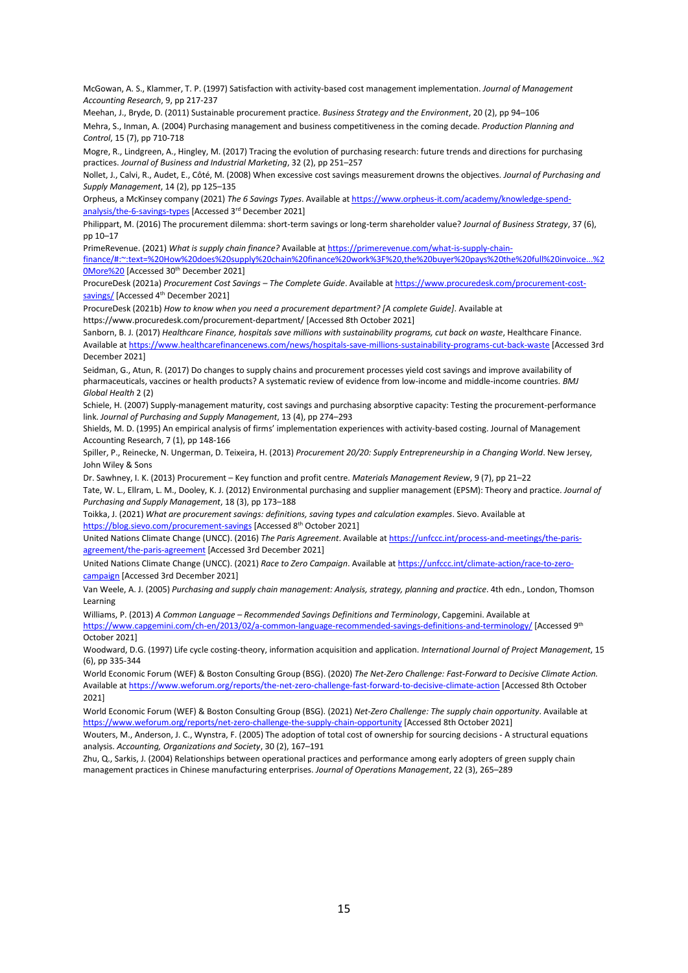McGowan, A. S., Klammer, T. P. (1997) Satisfaction with activity-based cost management implementation. *Journal of Management Accounting Research*, 9, pp 217-237

Meehan, J., Bryde, D. (2011) Sustainable procurement practice. *Business Strategy and the Environment*, 20 (2), pp 94–106 Mehra, S., Inman, A. (2004) Purchasing management and business competitiveness in the coming decade. *Production Planning and Control*, 15 (7), pp 710-718

Mogre, R., Lindgreen, A., Hingley, M. (2017) Tracing the evolution of purchasing research: future trends and directions for purchasing practices. *Journal of Business and Industrial Marketing*, 32 (2), pp 251–257

Nollet, J., Calvi, R., Audet, E., Côté, M. (2008) When excessive cost savings measurement drowns the objectives. *Journal of Purchasing and Supply Management*, 14 (2), pp 125–135

Orpheus, a McKinsey company (2021) *The 6 Savings Types*. Available a[t https://www.orpheus-it.com/academy/knowledge-spend](https://www.orpheus-it.com/academy/knowledge-spend-analysis/the-6-savings-types)[analysis/the-6-savings-types](https://www.orpheus-it.com/academy/knowledge-spend-analysis/the-6-savings-types) [Accessed 3rd December 2021]

Philippart, M. (2016) The procurement dilemma: short-term savings or long-term shareholder value? *Journal of Business Strategy*, 37 (6), pp 10–17

PrimeRevenue. (2021) *What is supply chain finance?* Available a[t https://primerevenue.com/what-is-supply-chain-](https://primerevenue.com/what-is-supply-chain-finance/#:~:text=%20How%20does%20supply%20chain%20finance%20work%3F%20,the%20buyer%20pays%20the%20full%20invoice...%20More%20)

[finance/#:~:text=%20How%20does%20supply%20chain%20finance%20work%3F%20,the%20buyer%20pays%20the%20full%20invoice...%2](https://primerevenue.com/what-is-supply-chain-finance/#:~:text=%20How%20does%20supply%20chain%20finance%20work%3F%20,the%20buyer%20pays%20the%20full%20invoice...%20More%20) [0More%20](https://primerevenue.com/what-is-supply-chain-finance/#:~:text=%20How%20does%20supply%20chain%20finance%20work%3F%20,the%20buyer%20pays%20the%20full%20invoice...%20More%20) [Accessed 30th December 2021]

ProcureDesk (2021a) *Procurement Cost Savings – The Complete Guide*. Available a[t https://www.procuredesk.com/procurement-cost](https://www.procuredesk.com/procurement-cost-savings/)[savings/](https://www.procuredesk.com/procurement-cost-savings/) [Accessed 4<sup>th</sup> December 2021]

ProcureDesk (2021b) *How to know when you need a procurement department? [A complete Guide]*. Available at <https://www.procuredesk.com/procurement-department/> [Accessed 8th October 2021]

Sanborn, B. J. (2017) *Healthcare Finance, hospitals save millions with sustainability programs, cut back on waste*, Healthcare Finance. Available a[t https://www.healthcarefinancenews.com/news/hospitals-save-millions-sustainability-programs-cut-back-waste](https://www.healthcarefinancenews.com/news/hospitals-save-millions-sustainability-programs-cut-back-waste) [Accessed 3rd December 2021]

Seidman, G., Atun, R. (2017) Do changes to supply chains and procurement processes yield cost savings and improve availability of pharmaceuticals, vaccines or health products? A systematic review of evidence from low-income and middle-income countries. *BMJ Global Health* 2 (2)

Schiele, H. (2007) Supply-management maturity, cost savings and purchasing absorptive capacity: Testing the procurement-performance link. *Journal of Purchasing and Supply Management*, 13 (4), pp 274–293

Shields, M. D. (1995) An empirical analysis of firms' implementation experiences with activity-based costing. Journal of Management Accounting Research, 7 (1), pp 148-166

Spiller, P., Reinecke, N. Ungerman, D. Teixeira, H. (2013) *Procurement 20/20: Supply Entrepreneurship in a Changing World*. New Jersey, John Wiley & Sons

Dr. Sawhney, I. K. (2013) Procurement – Key function and profit centre. *Materials Management Review*, 9 (7), pp 21–22

Tate, W. L., Ellram, L. M., Dooley, K. J. (2012) Environmental purchasing and supplier management (EPSM): Theory and practice. *Journal of Purchasing and Supply Management*, 18 (3), pp 173–188

Toikka, J. (2021) *What are procurement savings: definitions, saving types and calculation examples*. Sievo. Available at <https://blog.sievo.com/procurement-savings> [Accessed 8<sup>th</sup> October 2021]

United Nations Climate Change (UNCC). (2016) *The Paris Agreement*. Available a[t https://unfccc.int/process-and-meetings/the-paris](https://unfccc.int/process-and-meetings/the-paris-agreement/the-paris-agreement)[agreement/the-paris-agreement](https://unfccc.int/process-and-meetings/the-paris-agreement/the-paris-agreement) [Accessed 3rd December 2021]

United Nations Climate Change (UNCC). (2021) *Race to Zero Campaign*. Available a[t https://unfccc.int/climate-action/race-to-zero](https://unfccc.int/climate-action/race-to-zero-campaign)[campaign](https://unfccc.int/climate-action/race-to-zero-campaign) [Accessed 3rd December 2021]

Van Weele, A. J. (2005) *Purchasing and supply chain management: Analysis, strategy, planning and practice*. 4th edn., London, Thomson Learning

Williams, P. (2013) *A Common Language – Recommended Savings Definitions and Terminology*, Capgemini. Available at

<https://www.capgemini.com/ch-en/2013/02/a-common-language-recommended-savings-definitions-and-terminology/> [Accessed 9<sup>th</sup> October 2021]

Woodward, D.G. (1997) Life cycle costing-theory, information acquisition and application. *International Journal of Project Management*, 15 (6), pp 335-344

World Economic Forum (WEF) & Boston Consulting Group (BSG). (2020) *The Net-Zero Challenge: Fast-Forward to Decisive Climate Action.*  Available a[t https://www.weforum.org/reports/the-net-zero-challenge-fast-forward-to-decisive-climate-action](https://www.weforum.org/reports/the-net-zero-challenge-fast-forward-to-decisive-climate-action) [Accessed 8th October 2021]

World Economic Forum (WEF) & Boston Consulting Group (BSG). (2021) *Net-Zero Challenge: The supply chain opportunity*. [Available](http://www.weforum.org/) at <https://www.weforum.org/reports/net-zero-challenge-the-supply-chain-opportunity> [Accessed 8th October 2021]

Wouters, M., Anderson, J. C., Wynstra, F. (2005) The adoption of total cost of ownership for sourcing decisions - A structural equations analysis. *Accounting, Organizations and Society*, 30 (2), 167–191

Zhu, Q., Sarkis, J. (2004) Relationships between operational practices and performance among early adopters of green supply chain management practices in Chinese manufacturing enterprises. *Journal of Operations Management*, 22 (3), 265–289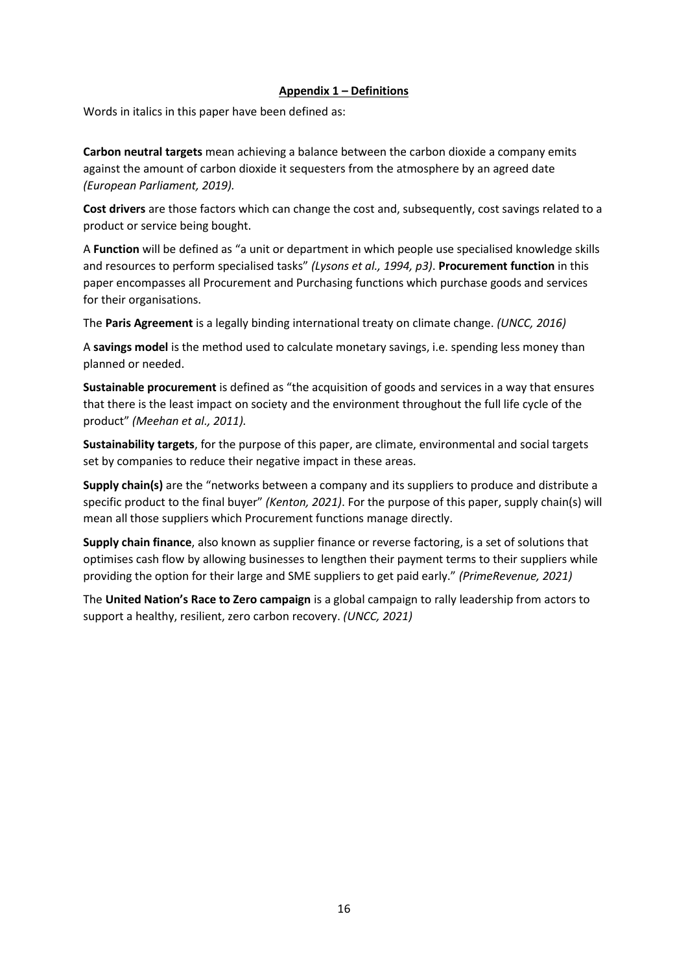## **Appendix 1 – Definitions**

Words in italics in this paper have been defined as:

**Carbon neutral targets** mean achieving a balance between the carbon dioxide a company emits against the amount of carbon dioxide it sequesters from the atmosphere by an agreed date *(European Parliament, 2019).*

**Cost drivers** are those factors which can change the cost and, subsequently, cost savings related to a product or service being bought.

A **Function** will be defined as "a unit or department in which people use specialised knowledge skills and resources to perform specialised tasks" *(Lysons et al., 1994, p3)*. **Procurement function** in this paper encompasses all Procurement and Purchasing functions which purchase goods and services for their organisations.

The **Paris Agreement** is a legally binding international treaty on climate change. *(UNCC, 2016)*

A **savings model** is the method used to calculate monetary savings, i.e. spending less money than planned or needed.

**Sustainable procurement** is defined as "the acquisition of goods and services in a way that ensures that there is the least impact on society and the environment throughout the full life cycle of the product" *(Meehan et al., 2011).*

**Sustainability targets**, for the purpose of this paper, are climate, environmental and social targets set by companies to reduce their negative impact in these areas.

**Supply chain(s)** are the "networks between a company and its suppliers to produce and distribute a specific product to the final buyer" *(Kenton, 2021)*. For the purpose of this paper, supply chain(s) will mean all those suppliers which Procurement functions manage directly.

**Supply chain finance**, also known as supplier finance or reverse factoring, is a set of solutions that optimises cash flow by allowing businesses to lengthen their payment terms to their suppliers while providing the option for their large and SME suppliers to get paid early." *(PrimeRevenue, 2021)*

The **United Nation's Race to Zero campaign** is a global campaign to rally leadership from actors to support a healthy, resilient, zero carbon recovery. *(UNCC, 2021)*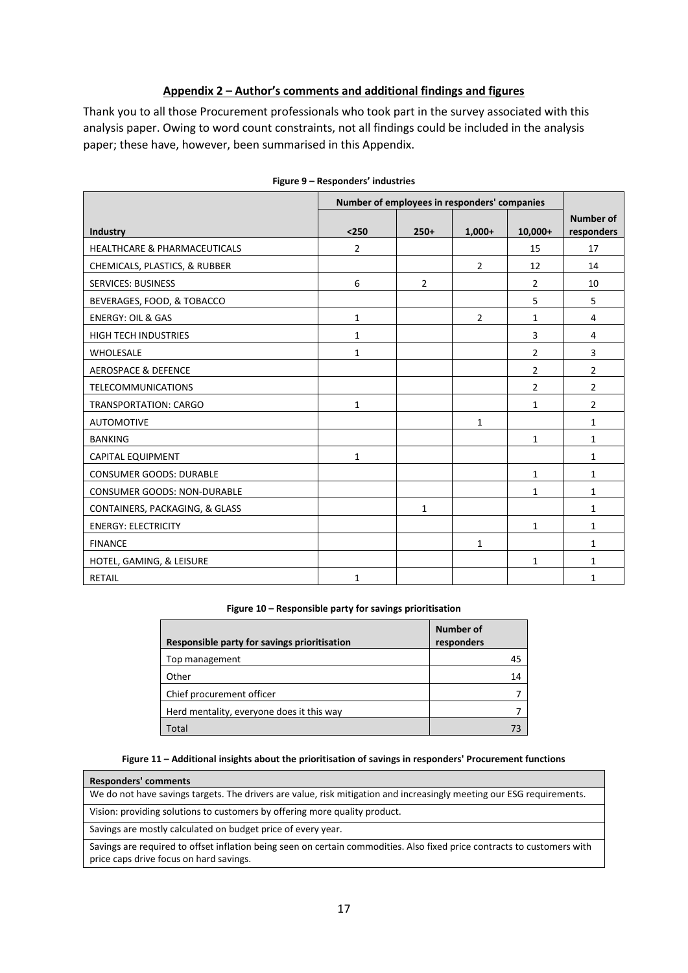## **Appendix 2 – Author's comments and additional findings and figures**

Thank you to all those Procurement professionals who took part in the survey associated with this analysis paper. Owing to word count constraints, not all findings could be included in the analysis paper; these have, however, been summarised in this Appendix.

|                                         | Number of employees in responders' companies |                |                |                |                                |
|-----------------------------------------|----------------------------------------------|----------------|----------------|----------------|--------------------------------|
| Industry                                | $<$ 250                                      | $250+$         | $1,000+$       | $10,000+$      | <b>Number of</b><br>responders |
| <b>HEALTHCARE &amp; PHARMACEUTICALS</b> | $\overline{2}$                               |                |                | 15             | 17                             |
| CHEMICALS, PLASTICS, & RUBBER           |                                              |                | $\overline{2}$ | 12             | 14                             |
| <b>SERVICES: BUSINESS</b>               | 6                                            | $\overline{2}$ |                | $\overline{2}$ | 10                             |
| BEVERAGES, FOOD, & TOBACCO              |                                              |                |                | 5              | 5                              |
| <b>ENERGY: OIL &amp; GAS</b>            | 1                                            |                | $\overline{2}$ | $\mathbf{1}$   | 4                              |
| <b>HIGH TECH INDUSTRIES</b>             | 1                                            |                |                | 3              | 4                              |
| <b>WHOLESALE</b>                        | 1                                            |                |                | $\overline{2}$ | 3                              |
| <b>AEROSPACE &amp; DEFENCE</b>          |                                              |                |                | $\overline{2}$ | $\overline{2}$                 |
| <b>TELECOMMUNICATIONS</b>               |                                              |                |                | $\overline{2}$ | $\overline{2}$                 |
| <b>TRANSPORTATION: CARGO</b>            | $\mathbf{1}$                                 |                |                | $\mathbf{1}$   | $\overline{2}$                 |
| <b>AUTOMOTIVE</b>                       |                                              |                | 1              |                | $\mathbf{1}$                   |
| <b>BANKING</b>                          |                                              |                |                | $\mathbf{1}$   | $\mathbf{1}$                   |
| <b>CAPITAL EQUIPMENT</b>                | 1                                            |                |                |                | $\mathbf{1}$                   |
| <b>CONSUMER GOODS: DURABLE</b>          |                                              |                |                | $\mathbf{1}$   | $\mathbf{1}$                   |
| <b>CONSUMER GOODS: NON-DURABLE</b>      |                                              |                |                | $\mathbf{1}$   | $\mathbf{1}$                   |
| CONTAINERS, PACKAGING, & GLASS          |                                              | 1              |                |                | $\mathbf{1}$                   |
| <b>ENERGY: ELECTRICITY</b>              |                                              |                |                | $\mathbf{1}$   | $\mathbf{1}$                   |
| <b>FINANCE</b>                          |                                              |                | 1              |                | 1                              |
| HOTEL, GAMING, & LEISURE                |                                              |                |                | $\mathbf{1}$   | $\mathbf{1}$                   |
| RETAIL                                  | 1                                            |                |                |                | $\mathbf{1}$                   |

| Figure 9 – Responders' industries |
|-----------------------------------|
|-----------------------------------|

#### **Figure 10 – Responsible party for savings prioritisation**

| Responsible party for savings prioritisation | Number of<br>responders |
|----------------------------------------------|-------------------------|
| Top management                               | 45                      |
| Other                                        | 14                      |
| Chief procurement officer                    |                         |
| Herd mentality, everyone does it this way    |                         |
| Total                                        |                         |

#### **Figure 11 – Additional insights about the prioritisation of savings in responders' Procurement functions**

We do not have savings targets. The drivers are value, risk mitigation and increasingly meeting our ESG requirements.

Vision: providing solutions to customers by offering more quality product.

Savings are mostly calculated on budget price of every year.

**Responders' comments**

Savings are required to offset inflation being seen on certain commodities. Also fixed price contracts to customers with price caps drive focus on hard savings.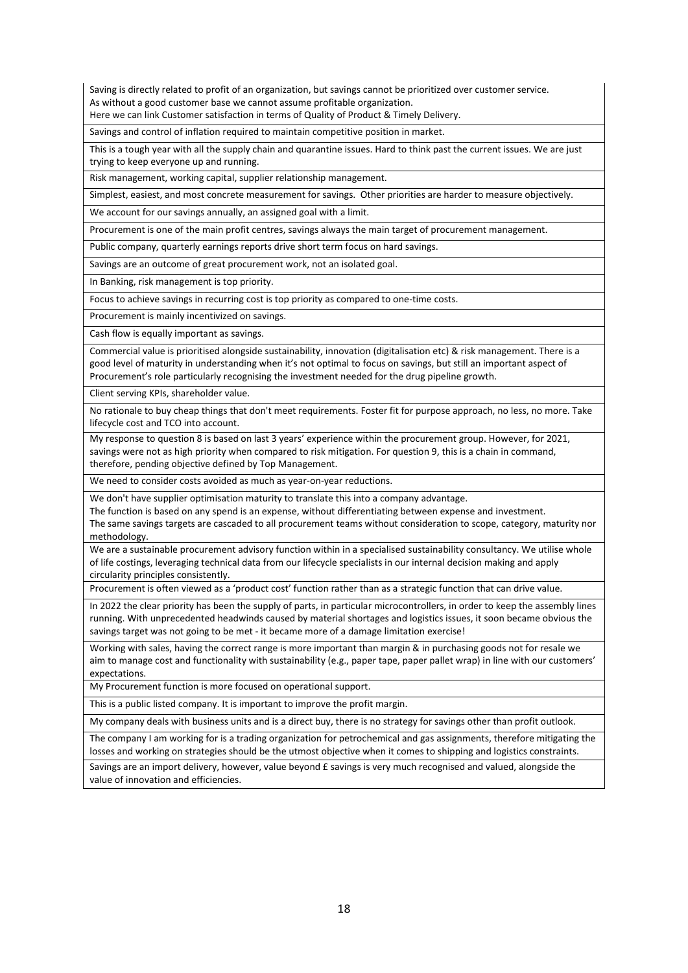Saving is directly related to profit of an organization, but savings cannot be prioritized over customer service. As without a good customer base we cannot assume profitable organization.

Here we can link Customer satisfaction in terms of Quality of Product & Timely Delivery.

Savings and control of inflation required to maintain competitive position in market.

This is a tough year with all the supply chain and quarantine issues. Hard to think past the current issues. We are just trying to keep everyone up and running.

Risk management, working capital, supplier relationship management.

Simplest, easiest, and most concrete measurement for savings. Other priorities are harder to measure objectively.

We account for our savings annually, an assigned goal with a limit.

Procurement is one of the main profit centres, savings always the main target of procurement management.

Public company, quarterly earnings reports drive short term focus on hard savings.

Savings are an outcome of great procurement work, not an isolated goal.

In Banking, risk management is top priority.

Focus to achieve savings in recurring cost is top priority as compared to one-time costs.

Procurement is mainly incentivized on savings.

Cash flow is equally important as savings.

Commercial value is prioritised alongside sustainability, innovation (digitalisation etc) & risk management. There is a good level of maturity in understanding when it's not optimal to focus on savings, but still an important aspect of Procurement's role particularly recognising the investment needed for the drug pipeline growth.

Client serving KPIs, shareholder value.

No rationale to buy cheap things that don't meet requirements. Foster fit for purpose approach, no less, no more. Take lifecycle cost and TCO into account.

My response to question 8 is based on last 3 years' experience within the procurement group. However, for 2021, savings were not as high priority when compared to risk mitigation. For question 9, this is a chain in command, therefore, pending objective defined by Top Management.

We need to consider costs avoided as much as year-on-year reductions.

We don't have supplier optimisation maturity to translate this into a company advantage.

The function is based on any spend is an expense, without differentiating between expense and investment.

The same savings targets are cascaded to all procurement teams without consideration to scope, category, maturity nor methodology.

We are a sustainable procurement advisory function within in a specialised sustainability consultancy. We utilise whole of life costings, leveraging technical data from our lifecycle specialists in our internal decision making and apply circularity principles consistently.

Procurement is often viewed as a 'product cost' function rather than as a strategic function that can drive value.

In 2022 the clear priority has been the supply of parts, in particular microcontrollers, in order to keep the assembly lines running. With unprecedented headwinds caused by material shortages and logistics issues, it soon became obvious the savings target was not going to be met - it became more of a damage limitation exercise!

Working with sales, having the correct range is more important than margin & in purchasing goods not for resale we aim to manage cost and functionality with sustainability (e.g., paper tape, paper pallet wrap) in line with our customers' expectations.

My Procurement function is more focused on operational support.

This is a public listed company. It is important to improve the profit margin.

My company deals with business units and is a direct buy, there is no strategy for savings other than profit outlook.

The company I am working for is a trading organization for petrochemical and gas assignments, therefore mitigating the losses and working on strategies should be the utmost objective when it comes to shipping and logistics constraints.

Savings are an import delivery, however, value beyond £ savings is very much recognised and valued, alongside the value of innovation and efficiencies.